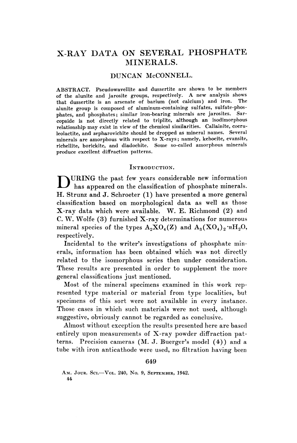# X-RAY DATA ON SEVERAL PHOSPHATE MINERALS.

## DUNCAN McCONNELL.

ABSTRACT. Pseudowavellite and dussertite are shown to be members of the alunite and jarosite groups, respectively. A new analysis shows that dussertite is an arsenate of barium (not calcium) and iron. The alunite group is composed of aluminum-containing sulfates, sulfate-phosphates, and phosphates; similar iron-bearing minerals are jarosites. Sarcopside is not directly related to triplite, although an isodimorphous relationship may exist in view of the chemical similarities. Callainite, coeruleolactite, and zepharovichite should be dropped as mineral names. Several minerals are amorphous with respect to X-rays; namely, kehoeite, evansite, richellite, borickite, and diadochite. Some so-called amorphous minerals produce excellent diffraction patterns.

#### INTRODUCTION.

DURING the past few years considerable new information has appeared on the classification of phosphate minerals. H. Strunz and J. Schroeter (1) have presented a more general classification hased on morphological data as well as those X-ray data which were available. W. E. Richmond (2) and C. W. Wolfe (3) furnished X-ray determinations for numerous mineral species of the types  $A_2XO_4(Z)$  and  $A_3(XO_4)_2 \cdot nH_2O$ , respectively.

Incidental to the writer's investigations of phosphate minerals, information has been obtained which was not directly related to the isomorphous series then under consideration. These results are presented in order to supplement the more general classifications just mentioned.

Most of the mineral specimens examined in this work represented type material or material from type localities, but specimens of this sort were not available in every instance. Those cases in which such materials were not used, although suggestive, obviously cannot be regarded as conclusive.

Almost without exception the results presented here are based entirely upon measurements of X-ray powder diffraction patterns. Precision cameras (M. J. Buerger's model (4)) and a tube with iron anticathode were used, no filtration having been

#### 649

AM. JOUR. SCI.-VOL. 240, No. 9, SEPTEMBER, 1942. 44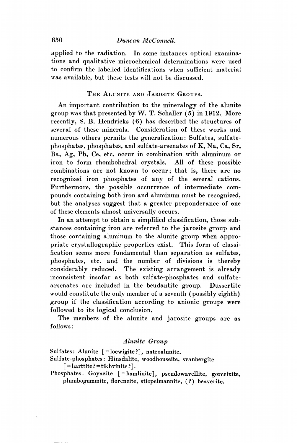# 650 *Duncan McConnell.*

applied to the radiation. In some instances optical examinations and qualitative microchemical determinations were used to confirm the labelled identifications when sufficient material was available, but these tests will not be discussed.

## THE ALUNITE AND JAROSITE GROUPS.

An important contribution to the mineralogy of the alunite group was that presented by W. T. Schaller  $(5)$  in 1912. More recently, S. B. Hendricks (6) has described the structures of several of these minerals. Consideration of these works and numerous others permits the generalization: Sulfates, sulfatephosphates, phosphates, and sulfate-arsenates of K, Na, Ca, Sr, Ba, Ag, Pb, Ce, etc. occur in combination with aluminum or iron to form rhombohedral crystals. All of these possible combinations are not known to occur; that is, there are no recognized iron phosphates of any of the several cations. Furthermore, the possible occurrence of intermediate compounds containing both iron and aluminum must be recognized, but the analyses suggest that a greater preponderance of one of these elements almost universally occurs.

In an attempt to obtain a simplified classification, those substances containing iron are referred to the jarosite group and those containing aluminum to the alunite group when appropriate crystallographic properties exist. This form of classification seems more fundamental than separation as sulfates, phosphates, etc. and the number of divisions is thereby considerably reduced. The existing arrangement is already inconsistent insofar as both sulfate-phosphates and sulfatearsenates are included in the beudantite group. Dussertite would constitute the only member of a seventh (possibly eighth) group if the classification according to anionic groups were followed to its logical conclusion.

The members of the alunite and jarosite groups are as follows:

#### *Alunite Group*

Sulfates: Alunite [=loewigite?], natroalunite.

Sulfate-phosphates: Hinsdalite, woodhouseite, svanbergite  $\lceil$  = harttite? = tikhvinite?].

Phosphates: Goyazite [=hamlinite], pseudowavellite, gorceixite. plumbogummite, florencite, stiepelmannite, (?) beaverite.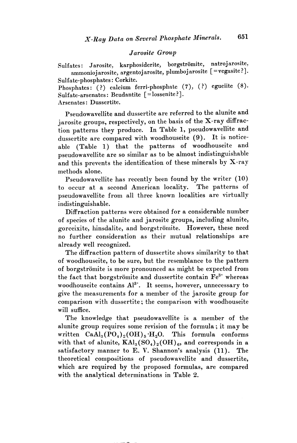#### *Jarosite Group*

Sulfates: Jarosite, karphosiderite, borgströmite, natrojarosite, ammonioj arosite, argentoj arosite, plumboj arosite [=vegasite?]. Sulfate-phosphates: Corkite.

Phosphates: (?) calcium ferri-phosphate (7), (?) egueiite (8). Sulfate-arsenates: Beudantite [=lossenite?].

Arsenates: Dussertite.

Pseudowavellite and dussertite are referred to the alunite and jarosite groups, respectively, on the basis of the X-ray diffraction patterns they produce. In Table 1, pseudowavellite and dussertite are compared with woodhouseite (9). It is noticeable (Table 1) that the patterns of woodhouseite and pseudowavellite are so similar as to be almost indistinguishable and this prevents the identification of these minerals by X-ray methods alone.

Pseudowavellite has recently been found by the writer  $(10)$ to occur at a second American locality. The patterns of pseudowavellite from all three known localities are virtually indistinguishable.

Diffraction patterns were obtained for a considerable number of species of the alunite and jarosite groups, including alunite, gorceixite, hinsdalite, and borgströmite. However, these need no further consideration as their mutual relationships are already well recognized.

The diffraction pattern of dussertite shows similarity to that of woodhouseite, to be sure, but the resemblance to the pattern of borgströmite is more pronounced as might be expected from the fact that borgströmite and dussertite contain  $\text{Fe}^{3+}$  whereas woodhouseite contains  $Al^{3+}$ . It seems, however, unnecessary to give the measurements for a member of the jarosite group for comparison with dussertite; the comparison with woodhouseite will suffice.

The knowledge that pseudowavellite is a member of the alunite group requires some revision of the formula; it may be written  $CaAl<sub>3</sub>(PO<sub>4</sub>)<sub>2</sub>(OH)<sub>5</sub>·H<sub>2</sub>O$ . This formula conforms with that of alunite,  $\text{KAl}_3(\text{SO}_4)_2(\text{OH})_6$ , and corresponds in a satisfactory manner to E. V. Shannon's analysis (11). The theoretical compositions of pseudowavellite and dussertite, which are required by the proposed formulas, are compared with the analytical determinations in Table 2.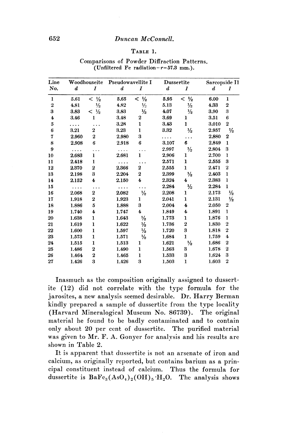#### TABLE 1.

|                  | (Unfiltered Fe radiation- $r=57.3$ mm.). |                   |                   |                         |                  |                         |               |                  |
|------------------|------------------------------------------|-------------------|-------------------|-------------------------|------------------|-------------------------|---------------|------------------|
| Line             | Woodhouseite                             |                   | Pseudowavellite I |                         | Dussertite       |                         | Sarcopside II |                  |
| No.              | d                                        | I                 | $\boldsymbol{d}$  | I                       | $\boldsymbol{d}$ | I                       | d             | I                |
| $\mathbf{1}$     | 5.61                                     | $< \frac{1}{2}$   | 5.65              | $< \frac{1}{2}$         | 5.95             | $<$ $\frac{1}{2}$       | 6.00          | 1                |
| $\boldsymbol{2}$ | 4.81                                     | $\frac{1}{2}$     | 4.82              | $1/2$                   | 5.13             | $\frac{1}{2}$           | 4.33          | 2                |
| 3                | 3.83                                     | $<$ $\frac{1}{2}$ | 3.83              | $\frac{1}{2}$           | 4.07             | $\frac{1}{2}$           | 3.90          | 3                |
| $\ddagger$       | 3.46                                     | 1                 | 3.48              | $\boldsymbol{2}$        | 3.69             | ı                       | 3.51          | 6                |
| 5                |                                          |                   | 3.28              | 1                       | 3.43             | 1                       | 3.010         | $\boldsymbol{2}$ |
| 6                | 3.21                                     | $\boldsymbol{2}$  | 3.23              | 1                       | 3.32             | $\frac{1}{2}$           | 2.957         | $\frac{1}{2}$    |
| 7                | 2.960                                    | $\bf{2}$          | 2,980             | 3                       | .                |                         | 2.880         | 2                |
| 8                | 2.908                                    | 6                 | 2.918             | 6                       | 3.107            | 6                       | 2,849         | ı                |
| 9                | .                                        |                   | $\cdots$          |                         | 2.997            | $\frac{1}{2}$           | 2.804         | 3                |
| 10               | 2.683                                    | ı                 | 2.681             | $\mathbf{I}$            | 2.906            | 1                       | 2.700         | 1                |
| 11               | 2.418                                    | 1                 |                   |                         | 2.571            | 1                       | 2,555         | 3                |
| 12               | 2.370                                    | $\boldsymbol{2}$  | 2,366             | $\overline{2}$          | 2.555            | $\mathbf{I}$            | 2.471         | $\boldsymbol{2}$ |
| 13               | 2.198                                    | 3                 | 2.204             | $\overline{2}$          | 2,399            | $\frac{1}{2}$           | 2.403         | ı                |
| 14               | 2.152                                    | 4                 | 2.150             | 4                       | 2.324            | 4                       | 2.383         | $\mathbf{I}$     |
| 15               | .                                        |                   | .                 |                         | 2.284            | ⅓                       | 2.284         | 1                |
| 16               | 2.068                                    | $\boldsymbol{2}$  | 2.082             | $\frac{1}{2}$           | 2.208            | ı                       | 2.173         | $\frac{1}{2}$    |
| 17               | 1.918                                    | $\bf{2}$          | 1.923             | 1                       | 2.041            | 1                       | 2.131         | $\frac{1}{2}$    |
| 18               | 1.886                                    | 5                 | 1.888             | 3                       | 2,004            | $\overline{\mathbf{4}}$ | 2.050         | $\overline{2}$   |
| 19               | 1.740                                    | 4                 | 1.747             | $\overline{\mathbf{4}}$ | 1.849            | 4                       | 1.891         | 1                |
| 20               | 1.638                                    | 1                 | 1.643             | $\frac{1}{2}$           | 1.773            | ı                       | 1.876         | $\mathbf{1}$     |
| 21               | 1.619                                    | 1                 | 1.622             | $\frac{1}{2}$           | 1.736            | $\boldsymbol{2}$        | 1.830         | $\bf{2}$         |
| 22               | 1.600                                    | 1                 | 1.597             | $\frac{1}{2}$           | 1.720            | 3                       | 1.818         | $\boldsymbol{2}$ |
| 23               | 1.573                                    | $\mathbf{I}$      | 1.571             | $\frac{1}{2}$           | 1.684            | $\mathbf{I}$            | 1.759         | 4                |
| 24               | 1.515                                    | 1                 | 1.513             | ı                       | 1.621            | $\frac{1}{2}$           | 1.686         | 2                |
| 25               | 1.486                                    | $\boldsymbol{2}$  | 1.490             | 1                       | 1.563            | 3                       | 1.678         | $\boldsymbol{2}$ |
| 26               | 1.464                                    | $\boldsymbol{2}$  | 1.465             | 1                       | 1.533            | 3                       | 1.624         | 3                |
| 27               | 1.426                                    | 3                 | 1.426             | 3                       | 1.503            | 1                       | 1.603         | $\overline{2}$   |

Comparisons of Powder Diffraction Patterns. (Unfiltered Fe radiation $-r=57.3$  mm.).

Inasmuch as the composition originally assigned to dussertite (12) did not correlate with the type formula for the jarosites, a new analysis seemed desirable. Dr. Harry Berman kindly prepared a sample of dussertite from the type locality (Harvard Mineralogical Museum No. 86739). The original material he found to be badly contaminated and to contain only about 20 per cent of dussertite. The purified material was given to Mr. F. A. Gonyer for analysis and his results arc shown in Table 2.

It is apparent that dussertite is not an arsenate of iron and calcium, as originally reported, but contains barium as a principal constituent instead of calcium. Thus the formula for dussertite is  $BaFe<sub>3</sub>(AsO<sub>4</sub>)<sub>2</sub>(OH)<sub>5</sub>·H<sub>2</sub>O$ . The analysis shows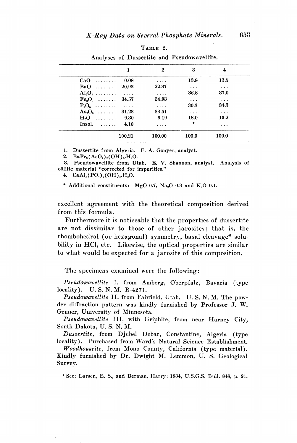| ۶<br>ARL. |  |
|-----------|--|
|-----------|--|

|                         |        | 2        | 3         | 4         |
|-------------------------|--------|----------|-----------|-----------|
| $CaO$                   | 0.08   | $\cdots$ | 13.8      | 13.5      |
| BaO  20.93              |        | 22.37    | $\cdots$  | $\ddots$  |
| $\text{Al}_2\text{O}_3$ |        | $\cdots$ | 36.8      | 37.0      |
| $Fe_3O_3$ 34.57         |        | 34.93    | $\cdots$  | $\cdots$  |
| $P_2O_5$                |        | $\cdots$ | 30.3      | 34.3      |
| $As_2O_5$ 31.23         |        | 33.51    | $\cdots$  | $\ddotsc$ |
| $H2O$                   | 9.30   | 9.19     | 18.0      | 15.2      |
| $Insol.$ $4.10$         |        | $\cdots$ | $\bullet$ | $\cdots$  |
|                         | 100.21 | 100.00   | 100.0     | 100.0     |

Analyses of Dussertite and Pseudowavellite.

1. Dussertite from Algeria. F. A. Gonyer, analyst.

2. BaFe<sub>3</sub>(AsO<sub>4</sub>)<sub>2</sub>(OH)<sub>5</sub>.H<sub>2</sub>O.

3. Pseudowavellite from Utah. E. V. Shannon, analyst. Analysis of oölitic material "corrected for impurities."

4.  $CaAl<sub>3</sub>(PO<sub>t</sub>)<sub>2</sub>(OH)<sub>5</sub> H<sub>2</sub>O.$ 

\* Additional constituents: MgO 0.7, Na<sub>2</sub>O 0.3 and K<sub>2</sub>O 0.1.

excellent agreement with the theoretical composition derived from this formula.

Furthermore it is noticeable that the properties of dussertite are not dissimilar to those of other jarosites; that is, the rhombohedral (or hexagonal) symmetry, basal cleavage\* solubility in HCl, etc. Likewise, the optical properties are similar to what would be expected for a jarosite of this composition.

The specimens examined were the following:

*Pseudowavellite* I, from Amberg, Oberpfalz, Bavaria (type locality). U. S. N. M. R-427I.

*Pseudowavellite* II, from Fairfield, Utah. U.S.N.M. The powder diffraction pattern was kindly furnished by Professor J. W. Gruner, University of Minnesota.

*Pseudowavellite* III, with Griphite, from near Harney City, South Dakota, U.S.N.M.

*Dussertite,* from Djebel Debar, Constantine, Algeria (type locality). Purchased from Ward's Natural Science Establishment.

*Woodhouseite,* from Mono County, California (type material). Kindly furnished by Dr. Dwight M. Lemmon, U. S. Geological Survey.

\* See: Larsen, E. S., and Berman, Harry: 1934, U.S.G.S. Bull. 848, p. 91.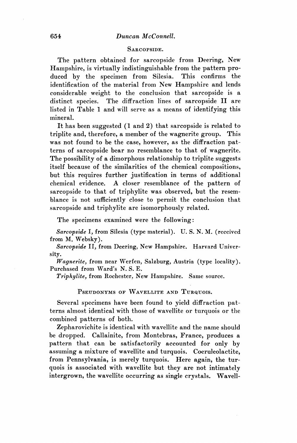#### SARCOPSIDE.

The pattern obtained for sarcopside from Deering, New Hampshire, is virtually indistinguishable from the pattern produced by the specimen from Silesia. This confirms the identification of the material from New Hampshire and lends considerable weight to the conclusion that sarcopside is a distinct species. The diffraction lines of sarcopside II are listed in Table 1 and will serve as a means of identifying this mineral.

It has been suggested (1 and 2) that sarcopside is related to triplite and, therefore, a member of the wagnerite group. This was not found to be the case, however, as the diffraction patterns of sarcopside bear no resemblance to that of wagnerite. The possibility of a dimorphous relationship to triplite suggests itself because of the similarities of the chemical compositions, but this requires further justification in terms of additional chemical evidence. A closer resemblance of the pattern of sarcopside to that of triphylite was observed, but the resemblance is not sufficiently close to permit the conclusion that sarcopside and triphylite are isomorphously related.

The specimens examined were the following:

*Sarcopside* I, from Silesia (type material). U.S.N.M. (received from M. Websky).

*Sarcopside* II, from Deering, New Hampshire. Harvard University.

*Wagnerite,* from near Werfen, Salzburg, Austria (type locality). Purchased from Ward's N. S. E.

*Triphylite,* from Rochester, New Hampshire. Same source.

PSEUDONYMS OF WAVELLITE AND TURQUOIS.

Several specimens have been found to yield diffraction patterns almost identical with those of wavellite or turquois or the combined patterns of both.

Zepharovichite is identical with wavellite and the name should be dropped. Callainite, from Montebras, France, produces a pattern that can be satisfactorily accounted for only by assuming a mixture of wavellite and turquois. Coeruleolactite. from Pennsylvania, is merely turquois. Here again, the turquois is associated with wavellite but they are not intimately intergrown, the wavellite occurring as single crystals. Wavell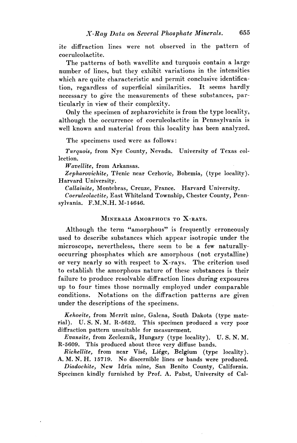ite diffraction lines were not observed in the pattern of coeruleolactite.

The patterns of both wavellite and turquois contain a large number of lines, but they exhibit variations in the intensities which are quite characteristic and permit conclusive identification, regardless of superficial similarities. It seems hardly necessary to give the measurements of these substances, particularly in view of their complexity.

Only the specimen of zepharovichite is from the type locality, although the occurrence of coeruleolactite in Pennsylvania is well known and material from this locality has been analyzed.

The specimens used were as follows:

*Turquois,* from Nye County, Nevada. University of Texas collection.

*Wavellite,* from Arkansas.

Zepharovichite, Třenic near Cerhovic, Bohemia, (type locality). Harvard University.

*Callainite,* Montebras, Creuze, France. Harvard University.

*Coeruleolactite,* East Whiteland Township, Chester County, Pennsylvania. F.M.N.H. M-14646.

## MINERALS AMORPHOUS TO X-RAYS.

Although the term "amorphous" is frequently erroneously used to describe substances which appear isotropic under the microscope, nevertheless, there seem to be a few naturallyoccurring phosphates which are amorphous (not crystalline) or very nearly so with respect to X-rays. The criterion used to establish the amorphous nature of these substances is their failure to produce resolvable diffraction lines during exposures up to four times those normally employed under comparable conditions. Notations on the diffraction patterns are given under the descriptions of the specimens.

*Kehoeite,* from Merrit mine, Galena, South Dakota (type material). U.S.N.M. R-5652. This specimen produced a very poor diffraction pattern unsuitable for measurement.

*Evansite,* from Zceleznik, Hungary (type locality). U. S. N. M. R-5609. This produced about three very diffuse bands.

*Richellite,* from near Vise, Liege, Belgium (type locality). A. M. N. H. 15719. No discernible lines or bands were produced. *Diadochite,* New Idria mine, San Benito County, California. Specimen kindly furnished by Prof. A. Pabst, University of Cal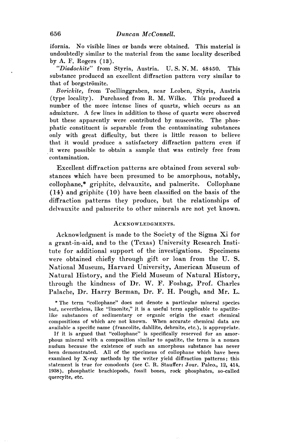ifornia. No visible lines or bands were obtained. This material is undoubtedly similar to the material from the same locality described by A. F. Rogers (13).

*"Diadochite"* from Styria, Austria. U. S. N. M. 48450. This substance produced an excellent diffraction pattern very similar to that of borgströmite.

*Borickite,* from Toellinggraben, near Leoben, Styria, Austria (type locality). Purchased from R. M. Wilke. This produced a number of the more intense lines of quartz, which occurs as an admixture. A few lines in addition to those of quartz were observed but these apparently were contributed by muscovite. The phosphatic constituent is separable from the contaminating substances only with great difficulty, but there is little reason to believe that it would produce a satisfactory diffraction pattern even if it were possible to obtain a sample that was entirely free from contamination.

Excellent diffraction patterns are obtained from several substances which have been presumed to be amorphous, notably, collophane,\* griphite, delvauxite, and palmerite. Collophane (14) and griphite (10) have been classified on the basis of the diffraction patterns they produce, but the relationships of delvauxite and palmerite to other minerals are not yet known.

#### ACKNOWLEDGMENTS.

Acknowledgment is made to the Society of the Sigma Xi for a grant-in-aid, and to the (Texas) University Research Institute for additional support of the investigations. Specimens were obtained chiefly through gift or loan from the U. S. National Museum, Harvard University, American Museum of Natural History, and the Field Museum of Natural History, through the kindness of Dr. W. F. Foshag, Prof. Charles Palache, Dr. Harry Berman, Dr. F. H. Pough, and Mr. L.

\* The term "collophane" does not denote a particular mineral species but, nevertheless, like "limonite," it is a useful term applicable to apatitelike substances of sedimentary or organic origin the exact chemical compositions of which are not known. When accurate chemical data are available a specific name (francolite, dahllite, dehrnite, etc.), is appropriate.

If it is argued that "collophane" is specifically reserved for an amorphous mineral with a composition similar to apatite, the term is a nomen nudum because the existence of such an amorphous substance has never been demonstrated. All of the specimens of collophane which have been examined by X-ray methods by the writer yield diffraction patterns; this statement is true for conodonts (see C. R. Stauffer: Jour. Paleo., 12, 414, 1938), phosphatic brachiopods, fossil bones, rock phosphates, so-called quercyite, etc.